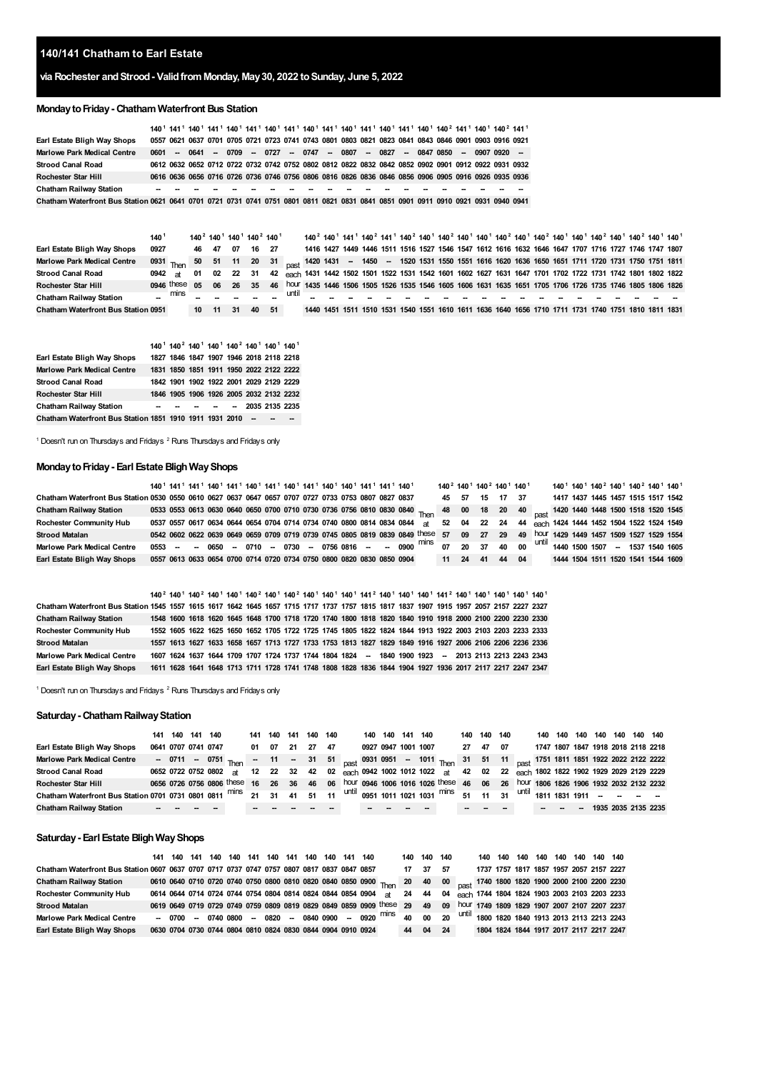### **140/141 Chatham to Earl Estate**

# **via Rochester andStrood- ValidfromMonday, May30, 2022 toSunday, June 5, 2022**

# **MondaytoFriday- Chatham Waterfront Bus Station**

|                                                                                                                                    |      |   |  |  |  |  |  |  |  | 140 <sup>1</sup> 141 <sup>1</sup> 140 <sup>1</sup> 141 <sup>1</sup> 140 <sup>1</sup> 141 <sup>1</sup> 140 <sup>1</sup> 141 <sup>1</sup> 140 <sup>1</sup> 141 <sup>1</sup> 140 <sup>1</sup> 141 <sup>1</sup> 140 <sup>1</sup> 141 <sup>1</sup> 140 <sup>2</sup> 141 <sup>1</sup> 140 <sup>2</sup> 141 <sup>1</sup> |                                                                                                     |
|------------------------------------------------------------------------------------------------------------------------------------|------|---|--|--|--|--|--|--|--|-------------------------------------------------------------------------------------------------------------------------------------------------------------------------------------------------------------------------------------------------------------------------------------------------------------------|-----------------------------------------------------------------------------------------------------|
| Earl Estate Bligh Way Shops                                                                                                        |      |   |  |  |  |  |  |  |  | 0557 0621 0637 0701 0705 0721 0723 0741 0743 0801 0803 0821 0823 0841 0843 0846 0901 0903 0916 0921                                                                                                                                                                                                               |                                                                                                     |
| <b>Marlowe Park Medical Centre</b>                                                                                                 | 0601 |   |  |  |  |  |  |  |  | -- 0641 -- 0709 -- 0727 -- 0747 -- 0807 -- 0827 -- 0847 0850 -- 0907 0920 --                                                                                                                                                                                                                                      |                                                                                                     |
| <b>Strood Canal Road</b>                                                                                                           |      |   |  |  |  |  |  |  |  |                                                                                                                                                                                                                                                                                                                   | 0612 0632 0652 0712 0722 0732 0742 0752 0802 0812 0822 0832 0842 0852 0902 0901 0912 0922 0931 0932 |
| Rochester Star Hill                                                                                                                |      |   |  |  |  |  |  |  |  |                                                                                                                                                                                                                                                                                                                   | 0616 0636 0656 0716 0726 0736 0746 0756 0806 0816 0826 0836 0846 0856 0906 0905 0916 0926 0935 0936 |
| <b>Chatham Railway Station</b>                                                                                                     |      | . |  |  |  |  |  |  |  |                                                                                                                                                                                                                                                                                                                   |                                                                                                     |
| Chatham Waterfront Bus Station 0621 0641 0701 0721 0731 0741 0751 0801 0811 0821 0831 0841 0851 0901 0911 0910 0921 0931 0940 0941 |      |   |  |  |  |  |  |  |  |                                                                                                                                                                                                                                                                                                                   |                                                                                                     |

|                                            | 140                 |      |    |      |       | 140 <sup>2</sup> 140 <sup>1</sup> 140 <sup>1</sup> 140 <sup>2</sup> 140 <sup>1</sup>                                           |      | 140 <sup>2</sup> 140 <sup>1</sup> 141 <sup>1</sup> 140 <sup>2</sup> 141 <sup>1</sup> 140 <sup>2</sup> 140 <sup>1</sup> 140 <sup>2</sup> 140 <sup>1</sup> 140 <sup>1</sup> 140 <sup>2</sup> 140 <sup>1</sup> 140 <sup>2</sup> 140 <sup>1</sup> 140 <sup>2</sup> 140 <sup>1</sup> 140 <sup>2</sup> 140 <sup>1</sup> 140 <sup>2</sup> |  |  |  |  |  |  |  |  |  |  |
|--------------------------------------------|---------------------|------|----|------|-------|--------------------------------------------------------------------------------------------------------------------------------|------|------------------------------------------------------------------------------------------------------------------------------------------------------------------------------------------------------------------------------------------------------------------------------------------------------------------------------------|--|--|--|--|--|--|--|--|--|--|
| Earl Estate Bligh Way Shops                | 0927                |      | 46 | - 47 | 07    | 16                                                                                                                             | - 27 | 1416 1427 1449 1446 1511 1516 1527 1546 1547 1612 1616 1632 1646 1647 1707 1716 1727 1746 1747 1807                                                                                                                                                                                                                                |  |  |  |  |  |  |  |  |  |  |
| <b>Marlowe Park Medical Centre</b>         | $0931$ Then         |      |    |      |       | 50 51 11 20 31 <sub>nast</sub> 1420 1431 -- 1450 -- 1520 1531 1550 1551 1616 1620 1636 1650 1651 1711 1720 1731 1750 1751 1811 |      |                                                                                                                                                                                                                                                                                                                                    |  |  |  |  |  |  |  |  |  |  |
| <b>Strood Canal Road</b>                   | $0942$ at           |      | 01 | 02   | 22 31 |                                                                                                                                | 42   | each 1431 1442 1502 1501 1522 1531 1542 1601 1602 1627 1631 1647 1701 1702 1722 1731 1742 1801 1802 1822                                                                                                                                                                                                                           |  |  |  |  |  |  |  |  |  |  |
| Rochester Star Hill                        | $0.946$ these $0.5$ |      |    |      | 06 26 | 35                                                                                                                             | 46   | hour 1435 1446 1506 1505 1526 1535 1546 1605 1606 1631 1635 1651 1705 1706 1726 1735 1746 1805 1806 1826                                                                                                                                                                                                                           |  |  |  |  |  |  |  |  |  |  |
| <b>Chatham Railway Station</b>             |                     | mins |    |      |       |                                                                                                                                |      |                                                                                                                                                                                                                                                                                                                                    |  |  |  |  |  |  |  |  |  |  |
| <b>Chatham Waterfront Bus Station 0951</b> |                     |      | 10 | - 11 | -31   | 40                                                                                                                             | -51  | 1440 1451 1511 1510 1531 1540 1551 1610 1611 1636 1640 1656 1710 1711 1731 1740 1751 1810 1811 1831                                                                                                                                                                                                                                |  |  |  |  |  |  |  |  |  |  |

|                                                         |  |  | 140 <sup>1</sup> 140 <sup>2</sup> 140 <sup>1</sup> 140 <sup>1</sup> 140 <sup>2</sup> 140 <sup>1</sup> 140 <sup>1</sup> 140 <sup>1</sup> |  |
|---------------------------------------------------------|--|--|-----------------------------------------------------------------------------------------------------------------------------------------|--|
| Earl Estate Bligh Way Shops                             |  |  | 1827 1846 1847 1907 1946 2018 2118 2218                                                                                                 |  |
| <b>Marlowe Park Medical Centre</b>                      |  |  | 1831 1850 1851 1911 1950 2022 2122 2222                                                                                                 |  |
| Strood Canal Road                                       |  |  | 1842 1901 1902 1922 2001 2029 2129 2229                                                                                                 |  |
| Rochester Star Hill                                     |  |  | 1846 1905 1906 1926 2005 2032 2132 2232                                                                                                 |  |
| Chatham Railway Station                                 |  |  | -- -- -- -- -- 2035 2135 2235                                                                                                           |  |
| Chatham Waterfront Bus Station 1851 1910 1911 1931 2010 |  |  |                                                                                                                                         |  |

<span id="page-0-1"></span><span id="page-0-0"></span>Doesn't run on Thursdays and Fridays  $2$  Runs Thursdays and Fridays only

#### **MondaytoFriday- Earl Estate BlighWayShops**

|                                                                                                      |  |  |  |  |  |  | 140 <sup>1</sup> 141 <sup>1</sup> 141 <sup>1</sup> 140 <sup>1</sup> 141 <sup>1</sup> 140 <sup>1</sup> 141 <sup>1</sup> 140 <sup>1</sup> 141 <sup>1</sup> 140 <sup>1</sup> 140 <sup>1</sup> 141 <sup>1</sup> 141 <sup>1</sup> 140 <sup>1</sup> |       |      |    |          | 140 <sup>2</sup> 140 <sup>1</sup> 140 <sup>2</sup> 140 <sup>1</sup> 140 <sup>1</sup> |  | 140 <sup>1</sup> 140 <sup>1</sup> 140 <sup>2</sup> 140 <sup>1</sup> 140 <sup>2</sup> 140 <sup>1</sup> 140 <sup>1</sup> |  |  |
|------------------------------------------------------------------------------------------------------|--|--|--|--|--|--|-----------------------------------------------------------------------------------------------------------------------------------------------------------------------------------------------------------------------------------------------|-------|------|----|----------|--------------------------------------------------------------------------------------|--|------------------------------------------------------------------------------------------------------------------------|--|--|
| Chatham Waterfront Bus Station 0530 0550 0610 0627 0637 0647 0657 0707 0727 0733 0753 0807 0827 0837 |  |  |  |  |  |  |                                                                                                                                                                                                                                               | 45 57 |      |    | 15 17 37 |                                                                                      |  | 1417 1437 1445 1457 1515 1517 1542                                                                                     |  |  |
| <b>Chatham Railway Station</b>                                                                       |  |  |  |  |  |  | 0533 0553 0613 0630 0640 0650 0700 0710 0730 0736 0756 0810 0830 0840 Then 48 00 18 20 40 <sub>Dast</sub> 1420 1440 1448 1500 1518 1520 1545                                                                                                  |       |      |    |          |                                                                                      |  |                                                                                                                        |  |  |
| <b>Rochester Community Hub</b>                                                                       |  |  |  |  |  |  | 0537 0557 0617 0634 0644 0654 0704 0714 0734 0740 0800 0814 0834 0844 at 52 04 22 24 44 each 1424 1444 1452 1504 1522 1524 1549                                                                                                               |       |      |    |          |                                                                                      |  |                                                                                                                        |  |  |
| <b>Strood Matalan</b>                                                                                |  |  |  |  |  |  | 0542 0602 0622 0639 0649 0659 0709 0719 0739 0745 0805 0819 0839 0849 these 57 09 27 29 49 hour 1429 1449 1457 1509 1527 1529 1554                                                                                                            |       |      |    |          |                                                                                      |  |                                                                                                                        |  |  |
| <b>Marlowe Park Medical Centre</b>                                                                   |  |  |  |  |  |  | 0553 -- - 0650 -- 0710 -- 0730 -- 0756 0816 -- - 0900 <sup>mins</sup> 07 20 37 40 00 <sup>until</sup> 1440 1500 1507 -- 1537 1540 1605                                                                                                        |       |      |    |          |                                                                                      |  |                                                                                                                        |  |  |
| Earl Estate Bligh Way Shops                                                                          |  |  |  |  |  |  | 0557 0613 0633 0654 0700 0714 0720 0734 0750 0800 0820 0830 0850 0904                                                                                                                                                                         | 11    | - 24 | 41 |          | 44 04                                                                                |  | 1444 1504 1511 1520 1541 1544 1609                                                                                     |  |  |

|                                                                                                                                         |  |  |  |  |  |  |  |  |  | 140 <sup>2</sup> 140 <sup>1</sup> 140 <sup>2</sup> 140 <sup>1</sup> 140 <sup>1</sup> 140 <sup>2</sup> 140 <sup>1</sup> 140 <sup>2</sup> 140 <sup>1</sup> 140 <sup>1</sup> 140 <sup>1</sup> 140 <sup>1</sup> 141 <sup>2</sup> 140 <sup>1</sup> 140 <sup>1</sup> 140 <sup>1</sup> 140 <sup>1</sup> 140 <sup>1</sup> 140 <sup>1</sup> 140 <sup>1</sup> 140 <sup>1</sup> |  |
|-----------------------------------------------------------------------------------------------------------------------------------------|--|--|--|--|--|--|--|--|--|----------------------------------------------------------------------------------------------------------------------------------------------------------------------------------------------------------------------------------------------------------------------------------------------------------------------------------------------------------------------|--|
| Chatham Waterfront Bus Station 1545 1557 1615 1617 1642 1645 1657 1715 1717 1737 1757 1815 1817 1837 1907 1915 1957 2057 2157 2227 2327 |  |  |  |  |  |  |  |  |  |                                                                                                                                                                                                                                                                                                                                                                      |  |
| <b>Chatham Railway Station</b>                                                                                                          |  |  |  |  |  |  |  |  |  | 1548 1600 1618 1620 1645 1648 1700 1718 1720 1740 1800 1818 1820 1840 1910 1918 2000 2100 2200 2230 2330                                                                                                                                                                                                                                                             |  |
| <b>Rochester Community Hub</b>                                                                                                          |  |  |  |  |  |  |  |  |  | 1552 1605 1622 1625 1650 1652 1705 1722 1725 1745 1805 1822 1824 1844 1913 1922 2003 2103 2203 2233 2333                                                                                                                                                                                                                                                             |  |
| <b>Strood Matalan</b>                                                                                                                   |  |  |  |  |  |  |  |  |  | 1557 1613 1627 1633 1658 1657 1713 1727 1733 1753 1813 1827 1829 1849 1916 1927 2006 2106 2206 2236 2336                                                                                                                                                                                                                                                             |  |
| Marlowe Park Medical Centre                                                                                                             |  |  |  |  |  |  |  |  |  | 1607 1624 1637 1644 1709 1707 1724 1737 1744 1804 1824 - 1840 1900 1923 - 2013 2113 2213 2243 2343                                                                                                                                                                                                                                                                   |  |
| Earl Estate Bligh Way Shops                                                                                                             |  |  |  |  |  |  |  |  |  | 1611 1628 1641 1648 1713 1711 1728 1741 1748 1808 1828 1836 1844 1904 1927 1936 2017 2117 2217 2247 2347                                                                                                                                                                                                                                                             |  |

Doesn't run on Thursdays and Fridays  $2$  Runs Thursdays and Fridays only

# **Saturday- ChathamRailwayStation**

|                                                                  | 141 140 141 140 |                                                                                                             | 141   | 140      | 141 | 140 140 |    |                     | 140 140 141 140 |  |                                                                                       |       | 140 140 | 140  |                                      | 140 | 140 | 140 | 140 140 | 140 140                            |  |
|------------------------------------------------------------------|-----------------|-------------------------------------------------------------------------------------------------------------|-------|----------|-----|---------|----|---------------------|-----------------|--|---------------------------------------------------------------------------------------|-------|---------|------|--------------------------------------|-----|-----|-----|---------|------------------------------------|--|
| Earl Estate Bligh Way Shops                                      |                 | 0641 0707 0741 0747                                                                                         | 01 07 |          | 21  | 27      | 47 | 0927 0947 1001 1007 |                 |  |                                                                                       | 27 47 |         | - 07 |                                      |     |     |     |         | 1747 1807 1847 1918 2018 2118 2218 |  |
| <b>Marlowe Park Medical Centre</b>                               |                 | - 0711 - 0751 Then - 11 - 31 51 Dest 0931 0951 - 1011 Then 31 51 11 Dest 1751 1811 1851 1922 2022 2122 2222 |       |          |     |         |    |                     |                 |  |                                                                                       |       |         |      |                                      |     |     |     |         |                                    |  |
| <b>Strood Canal Road</b>                                         |                 | 0652 0722 0752 0802 at                                                                                      |       | 12 22 32 |     |         |    |                     |                 |  | 42 02 each 0942 1002 1012 1022 at 42 02 22 each 1802 1822 1902 1929 2029 2129 2229    |       |         |      |                                      |     |     |     |         |                                    |  |
| Rochester Star Hill                                              |                 | 0656 0726 0756 0806 these 16 26                                                                             |       |          | 36  |         |    |                     |                 |  | 46 06 hour 0946 1006 1016 1026 these 46 06 26 hour 1806 1826 1906 1932 2032 2132 2232 |       |         |      |                                      |     |     |     |         |                                    |  |
| Chatham Waterfront Bus Station 0701 0731 0801 0811 mins 21 31 41 |                 |                                                                                                             |       |          |     | 51      |    |                     |                 |  | 11 until 0951 1011 1021 1031 mins 51 11 31                                            |       |         |      | $1^4$ until 1811 1831 1911 – – – – – |     |     |     |         |                                    |  |
| <b>Chatham Railway Station</b>                                   |                 |                                                                                                             |       |          |     |         |    |                     |                 |  |                                                                                       |       |         |      |                                      |     |     |     |         | 1935 2035 2135 2235                |  |

### **Saturday- Earl Estate BlighWayShops**

|                                                                                            | 141 140 |  | 141 140 140 141 140 141 140 140 |  |  | 141 140 |                                                                |                                                                                                                                      | 140 | 140 140 |      | 140 | 140 | 140 140 |  | 140 140 140 140                         |                                                       |
|--------------------------------------------------------------------------------------------|---------|--|---------------------------------|--|--|---------|----------------------------------------------------------------|--------------------------------------------------------------------------------------------------------------------------------------|-----|---------|------|-----|-----|---------|--|-----------------------------------------|-------------------------------------------------------|
| Chatham Waterfront Bus Station 0607 0637 0707 0717 0737 0747 0757 0807 0817 0837 0847 0857 |         |  |                                 |  |  |         |                                                                |                                                                                                                                      | 17  | 37      | - 57 |     |     |         |  |                                         | 1737 1757 1817 1857 1957 2057 2157 2227               |
| <b>Chatham Railway Station</b>                                                             |         |  |                                 |  |  |         |                                                                | 0610 0640 0710 0720 0740 0750 0800 0810 0820 0840 0850 0900 Then 20 40 00 past 1740 1800 1820 1900 2000 2100 2200 2230               |     |         |      |     |     |         |  |                                         |                                                       |
| <b>Rochester Community Hub</b>                                                             |         |  |                                 |  |  |         | 0614 0644 0714 0724 0744 0754 0804 0814 0824 0844 0854 0904 at |                                                                                                                                      |     |         |      |     |     |         |  |                                         | 24 44 04 each 1744 1804 1824 1903 2003 2103 2203 2233 |
| <b>Strood Matalan</b>                                                                      |         |  |                                 |  |  |         |                                                                | 0619 0649 0719 0729 0749 0759 0809 0819 0829 0849 0859 0909 these 29 49 09 hour 1749 1809 1829 1907 2007 2107 2207 2237              |     |         |      |     |     |         |  |                                         |                                                       |
| <b>Marlowe Park Medical Centre</b>                                                         |         |  |                                 |  |  |         |                                                                | $-$ 0700 -- 0740 0800 -- 0820 -- 0840 0900 -- 0920 <sup>mins</sup> 40 00 20 <sup>until</sup> 1800 1820 1840 1913 2013 2113 2213 2243 |     |         |      |     |     |         |  |                                         |                                                       |
| Earl Estate Bligh Way Shops                                                                |         |  |                                 |  |  |         | 0630 0704 0730 0744 0804 0810 0824 0830 0844 0904 0910 0924    |                                                                                                                                      | 44  | 04      | -24  |     |     |         |  | 1804 1824 1844 1917 2017 2117 2217 2247 |                                                       |